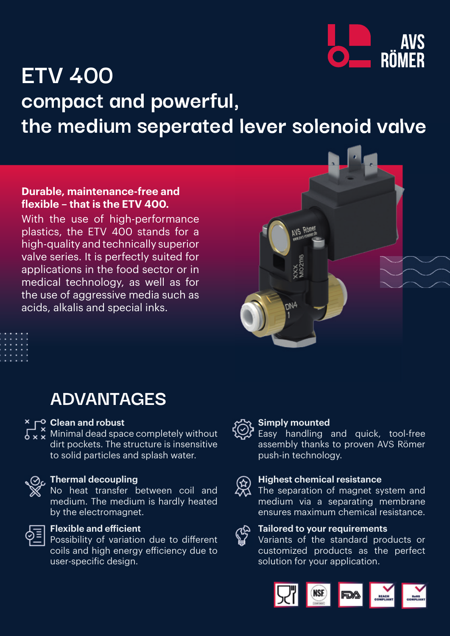

# **ETV 400 compact and powerful, the medium seperated lever solenoid valve**

## **Durable, maintenance-free and flexible – that is the ETV 400.**

With the use of high-performance plastics, the ETV 400 stands for a high-quality and technically superior valve series. It is perfectly suited for applications in the food sector or in medical technology, as well as for the use of aggressive media such as acids, alkalis and special inks.

# **ADVANTAGES**

## **Example 2 Clean and robust**

 $\overline{\mathcal{S}\times\mathcal{S}}$  Minimal dead space completely without dirt pockets. The structure is insensitive to solid particles and splash water.

#### **Thermal decoupling**

No heat transfer between coil and medium. The medium is hardly heated by the electromagnet.



### **Flexible and efficient**

Possibility of variation due to different coils and high energy efficiency due to user-specific design.



## **Simply mounted**

NS RÒ

Easy handling and quick, tool-free assembly thanks to proven AVS Römer push-in technology.



#### **Highest chemical resistance**

The separation of magnet system and medium via a separating membrane ensures maximum chemical resistance.

# **Tailored to your requirements**

Variants of the standard products or customized products as the perfect solution for your application.